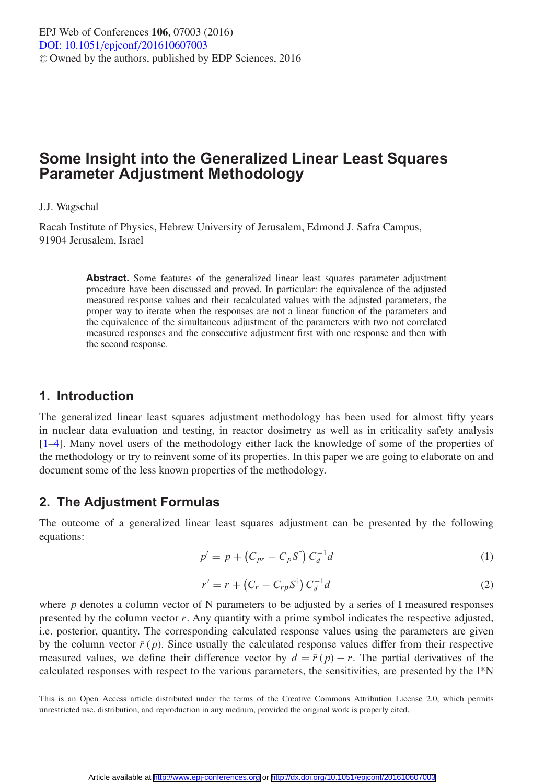# **Some Insight into the Generalized Linear Least Squares Parameter Adjustment Methodology**

#### J.J. Wagschal

Racah Institute of Physics, Hebrew University of Jerusalem, Edmond J. Safra Campus, 91904 Jerusalem, Israel

> Abstract. Some features of the generalized linear least squares parameter adjustment procedure have been discussed and proved. In particular: the equivalence of the adjusted measured response values and their recalculated values with the adjusted parameters, the proper way to iterate when the responses are not a linear function of the parameters and the equivalence of the simultaneous adjustment of the parameters with two not correlated measured responses and the consecutive adjustment first with one response and then with the second response.

## **1. Introduction**

The generalized linear least squares adjustment methodology has been used for almost fifty years in nuclear data evaluation and testing, in reactor dosimetry as well as in criticality safety analysis [\[1](#page-6-0)[–4\]](#page-6-1). Many novel users of the methodology either lack the knowledge of some of the properties of the methodology or try to reinvent some of its properties. In this paper we are going to elaborate on and document some of the less known properties of the methodology.

## **2. The Adjustment Formulas**

The outcome of a generalized linear least squares adjustment can be presented by the following equations:

<span id="page-0-0"></span>
$$
p' = p + (C_{pr} - C_p S^{\dagger}) C_d^{-1} d \tag{1}
$$

<span id="page-0-1"></span>
$$
r' = r + \left(C_r - C_{rp} S^{\dagger}\right) C_d^{-1} d \tag{2}
$$

where  $p$  denotes a column vector of N parameters to be adjusted by a series of I measured responses presented by the column vector  $r$ . Any quantity with a prime symbol indicates the respective adjusted, i.e. posterior, quantity. The corresponding calculated response values using the parameters are given by the column vector  $\bar{r}(p)$ . Since usually the calculated response values differ from their respective measured values, we define their difference vector by  $d = \bar{r}(p) - r$ . The partial derivatives of the calculated responses with respect to the various parameters, the sensitivities, are presented by the  $I^*N$ 

This is an Open Access article distributed under the terms of the Creative Commons Attribution License 2.0, which permits unrestricted use, distribution, and reproduction in any medium, provided the original work is properly cited.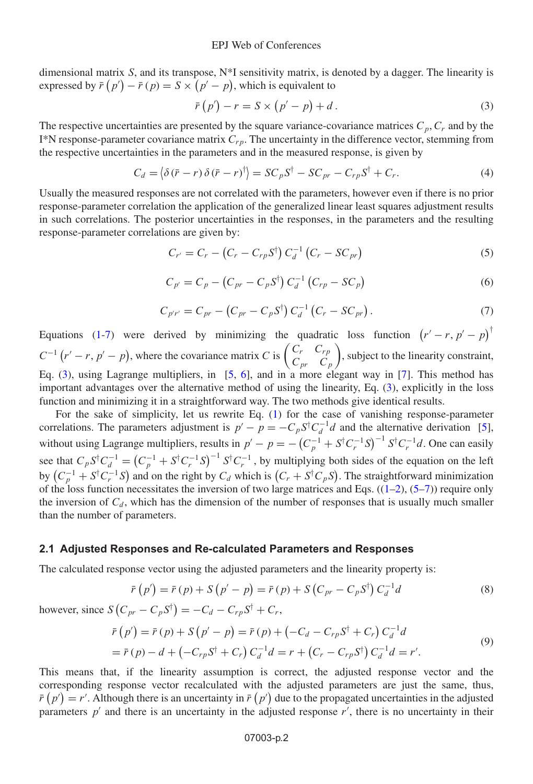dimensional matrix S, and its transpose,  $N^*I$  sensitivity matrix, is denoted by a dagger. The linearity is expressed by  $\bar{r}(p') - \bar{r}(p) = S \times (p' - p)$ , which is equivalent to

$$
\bar{r}(p') - r = S \times (p' - p) + d. \tag{3}
$$

The respective uncertainties are presented by the square variance-covariance matrices  $C_p$ ,  $C_r$  and by the I\*N response-parameter covariance matrix  $C_{rp}$ . The uncertainty in the difference vector, stemming from the respective uncertainties in the parameters and in the measured response, is given by

<span id="page-1-1"></span>
$$
C_d = \langle \delta(\bar{r} - r) \delta(\bar{r} - r)^\dagger \rangle = SC_p S^\dagger - SC_{pr} - C_{rp} S^\dagger + C_r. \tag{4}
$$

<span id="page-1-2"></span>Usually the measured responses are not correlated with the parameters, however even if there is no prior response-parameter correlation the application of the generalized linear least squares adjustment results in such correlations. The posterior uncertainties in the responses, in the parameters and the resulting response-parameter correlations are given by:

$$
C_{r'} = C_r - (C_r - C_{rp} S^{\dagger}) C_d^{-1} (C_r - SC_{pr})
$$
\n(5)

$$
C_{p'} = C_p - (C_{pr} - C_p S^{\dagger}) C_d^{-1} (C_{rp} - SC_p)
$$
 (6)

$$
C_{p'r'} = C_{pr} - (C_{pr} - C_p S^{\dagger}) C_d^{-1} (C_r - SC_{pr}). \tag{7}
$$

<span id="page-1-0"></span>Equations [\(1-](#page-0-0)[7\)](#page-1-0) were derived by minimizing the quadratic loss function  $(r'-r, p'-p)$ <sup>†</sup>  $C^{-1}(r'-r, p'-p)$ , where the covariance matrix C is  $\begin{pmatrix} C_r & C_{rp} \\ C_{pr} & C_p \end{pmatrix}$ ), subject to the linearity constraint, Eq.  $(3)$ , using Lagrange multipliers, in [\[5](#page-6-2), [6\]](#page-6-3), and in a more elegant way in [\[7](#page-6-4)]. This method has important advantages over the alternative method of using the linearity, Eq. [\(3\)](#page-1-1), explicitly in the loss function and minimizing it in a straightforward way. The two methods give identical results.

For the sake of simplicity, let us rewrite Eq. [\(1\)](#page-0-0) for the case of vanishing response-parameter correlations. The parameters adjustment is  $p' - p = -C_p S^{\dagger} C_d^{-1} d$  and the alternative derivation [\[5\]](#page-6-2), without using Lagrange multipliers, results in  $p' - p = -(C_p^{-1} + S^{\dagger} C_r^{-1} S)^{-1} S^{\dagger} C_r^{-1} d$ . One can easily see that  $C_p S^{\dagger} C_d^{-1} = (C_p^{-1} + S^{\dagger} C_r^{-1} S)^{-1} S^{\dagger} C_r^{-1}$ , by multiplying both sides of the equation on the left by  $(C_p^{-1} + S^{\dagger} C_r^{-1} S)$  and on the right by  $C_d$  which is  $(C_r + S^{\dagger} C_p S)$ . The straightforward minimization of the loss function necessitates the inversion of two large matrices and Eqs.  $((1-2), (5-7))$  $((1-2), (5-7))$  $((1-2), (5-7))$  $((1-2), (5-7))$  $((1-2), (5-7))$  require only the inversion of  $C_d$ , which has the dimension of the number of responses that is usually much smaller than the number of parameters.

#### **2.1 Adjusted Responses and Re-calculated Parameters and Responses**

The calculated response vector using the adjusted parameters and the linearity property is:

$$
\bar{r}(p') = \bar{r}(p) + S(p'-p) = \bar{r}(p) + S(C_{pr} - C_p S^{\dagger}) C_d^{-1} d \tag{8}
$$

however, since  $S\left(C_{pr} - C_p S^{\dagger}\right) = -C_d - C_{rp} S^{\dagger} + C_r$ ,

$$
\bar{r}(p') = \bar{r}(p) + S(p' - p) = \bar{r}(p) + (-C_d - C_{rp}S^{\dagger} + C_r)C_d^{-1}d
$$
  
=  $\bar{r}(p) - d + (-C_{rp}S^{\dagger} + C_r)C_d^{-1}d = r + (C_r - C_{rp}S^{\dagger})C_d^{-1}d = r'.$  (9)

This means that, if the linearity assumption is correct, the adjusted response vector and the corresponding response vector recalculated with the adjusted parameters are just the same, thus,  $\bar{r}(p') = r'$ . Although there is an uncertainty in  $\bar{r}(p')$  due to the propagated uncertainties in the adjusted parameters  $p'$  and there is an uncertainty in the adjusted response  $r'$ , there is no uncertainty in their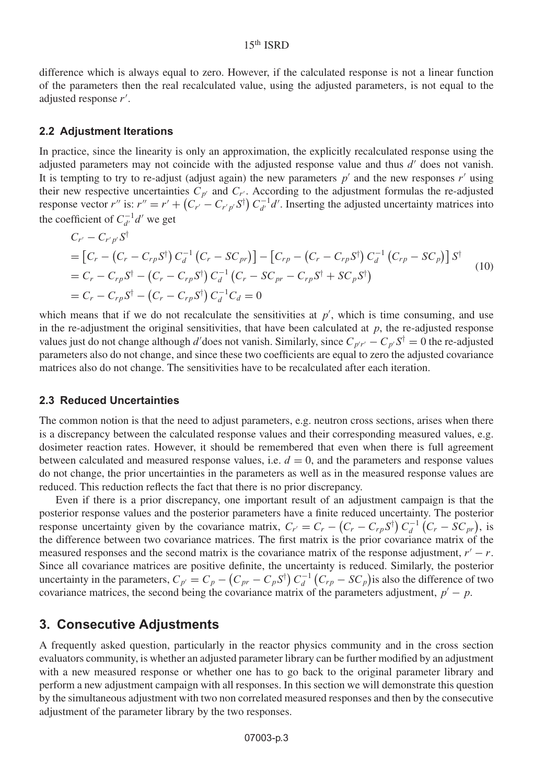difference which is always equal to zero. However, if the calculated response is not a linear function of the parameters then the real recalculated value, using the adjusted parameters, is not equal to the adjusted response  $r'$ .

### **2.2 Adjustment Iterations**

In practice, since the linearity is only an approximation, the explicitly recalculated response using the adjusted parameters may not coincide with the adjusted response value and thus  $d'$  does not vanish. It is tempting to try to re-adjust (adjust again) the new parameters  $p'$  and the new responses  $r'$  using their new respective uncertainties  $C_{p'}$  and  $C_{r'}$ . According to the adjustment formulas the re-adjusted response vector  $r''$  is:  $r'' = r' + (C_{r'} - C_{r'p'} S^{\dagger}) C_{d'}^{-1} d'$ . Inserting the adjusted uncertainty matrices into the coefficient of  $C_{d'}^{-1}$ d' we get

$$
C_{r'} - C_{r'p'} S^{\dagger}
$$
  
=  $[C_r - (C_r - C_{rp} S^{\dagger}) C_d^{-1} (C_r - SC_{pr})] - [C_{rp} - (C_r - C_{rp} S^{\dagger}) C_d^{-1} (C_{rp} - SC_p)] S^{\dagger}$   
=  $C_r - C_{rp} S^{\dagger} - (C_r - C_{rp} S^{\dagger}) C_d^{-1} (C_r - SC_{pr} - C_{rp} S^{\dagger} + SC_p S^{\dagger})$   
=  $C_r - C_{rp} S^{\dagger} - (C_r - C_{rp} S^{\dagger}) C_d^{-1} C_d = 0$  (10)

which means that if we do not recalculate the sensitivities at  $p'$ , which is time consuming, and use in the re-adjustment the original sensitivities, that have been calculated at  $p$ , the re-adjusted response values just do not change although d'does not vanish. Similarly, since  $C_{p'r'} - C_{p'}S^{\dagger} = 0$  the re-adjusted parameters also do not change, and since these two coefficients are equal to zero the adjusted covariance matrices also do not change. The sensitivities have to be recalculated after each iteration.

### **2.3 Reduced Uncertainties**

The common notion is that the need to adjust parameters, e.g. neutron cross sections, arises when there is a discrepancy between the calculated response values and their corresponding measured values, e.g. dosimeter reaction rates. However, it should be remembered that even when there is full agreement between calculated and measured response values, i.e.  $d = 0$ , and the parameters and response values do not change, the prior uncertainties in the parameters as well as in the measured response values are reduced. This reduction reflects the fact that there is no prior discrepancy.

Even if there is a prior discrepancy, one important result of an adjustment campaign is that the posterior response values and the posterior parameters have a finite reduced uncertainty. The posterior response uncertainty given by the covariance matrix,  $C_{r'} = C_r - (C_r - C_{rp} S^{\dagger}) C_d^{-1} (C_r - SC_{pr}),$  is the difference between two covariance matrices. The first matrix is the prior covariance matrix of the measured responses and the second matrix is the covariance matrix of the response adjustment,  $r' - r$ . Since all covariance matrices are positive definite, the uncertainty is reduced. Similarly, the posterior uncertainty in the parameters,  $C_{p'} = C_p - (C_{pr} - C_p S^{\dagger}) C_d^{-1} (C_{rp} - SC_p)$  is also the difference of two covariance matrices, the second being the covariance matrix of the parameters adjustment,  $p' - p$ .

## **3. Consecutive Adjustments**

A frequently asked question, particularly in the reactor physics community and in the cross section evaluators community, is whether an adjusted parameter library can be further modified by an adjustment with a new measured response or whether one has to go back to the original parameter library and perform a new adjustment campaign with all responses. In this section we will demonstrate this question by the simultaneous adjustment with two non correlated measured responses and then by the consecutive adjustment of the parameter library by the two responses.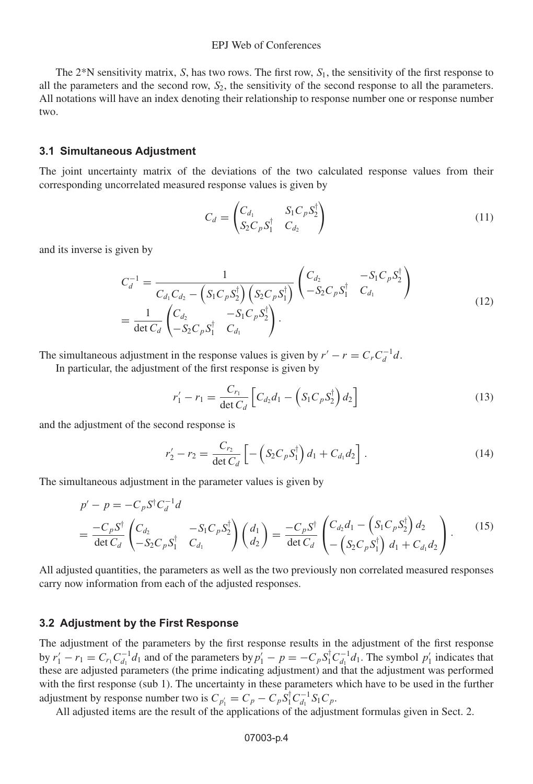The  $2*N$  sensitivity matrix, S, has two rows. The first row,  $S_1$ , the sensitivity of the first response to all the parameters and the second row,  $S<sub>2</sub>$ , the sensitivity of the second response to all the parameters. All notations will have an index denoting their relationship to response number one or response number two.

#### **3.1 Simultaneous Adjustment**

The joint uncertainty matrix of the deviations of the two calculated response values from their corresponding uncorrelated measured response values is given by

$$
C_d = \begin{pmatrix} C_{d_1} & S_1 C_p S_2^{\dagger} \\ S_2 C_p S_1^{\dagger} & C_{d_2} \end{pmatrix}
$$
 (11)

and its inverse is given by

$$
C_d^{-1} = \frac{1}{C_{d_1}C_{d_2} - (S_1C_pS_2^{\dagger})(S_2C_pS_1^{\dagger})} \begin{pmatrix} C_{d_2} & -S_1C_pS_2^{\dagger} \\ -S_2C_pS_1^{\dagger} & C_{d_1} \end{pmatrix}
$$
  
= 
$$
\frac{1}{\det C_d} \begin{pmatrix} C_{d_2} & -S_1C_pS_2^{\dagger} \\ -S_2C_pS_1^{\dagger} & C_{d_1} \end{pmatrix}.
$$
 (12)

The simultaneous adjustment in the response values is given by  $r' - r = C_r C_d^{-1} d$ .

In particular, the adjustment of the first response is given by

$$
r_1' - r_1 = \frac{C_{r_1}}{\det C_d} \left[ C_{d_2} d_1 - \left( S_1 C_p S_2^{\dagger} \right) d_2 \right]
$$
 (13)

and the adjustment of the second response is

$$
r_2' - r_2 = \frac{C_{r_2}}{\det C_d} \left[ -\left( S_2 C_p S_1^{\dagger} \right) d_1 + C_{d_1} d_2 \right]. \tag{14}
$$

The simultaneous adjustment in the parameter values is given by

$$
p' - p = -C_p S^{\dagger} C_d^{-1} d
$$
  
= 
$$
\frac{-C_p S^{\dagger}}{\det C_d} \begin{pmatrix} C_{d_2} & -S_1 C_p S_2^{\dagger} \\ -S_2 C_p S_1^{\dagger} & C_{d_1} \end{pmatrix} \begin{pmatrix} d_1 \\ d_2 \end{pmatrix} = \frac{-C_p S^{\dagger}}{\det C_d} \begin{pmatrix} C_{d_2} d_1 - \left( S_1 C_p S_2^{\dagger} \right) d_2 \\ - \left( S_2 C_p S_1^{\dagger} \right) d_1 + C_{d_1} d_2 \end{pmatrix}.
$$
(15)

All adjusted quantities, the parameters as well as the two previously non correlated measured responses carry now information from each of the adjusted responses.

### **3.2 Adjustment by the First Response**

The adjustment of the parameters by the first response results in the adjustment of the first response by  $r'_1 - r_1 = C_{r_1} C_{d_1}^{-1} d_1$  and of the parameters by  $p'_1 - p = -C_p S_1^{\dagger} C_{d_1}^{-1} d_1$ . The symbol  $p'_1$  indicates that these are adjusted parameters (the prime indicating adjustment) and that the adjustment was performed with the first response (sub 1). The uncertainty in these parameters which have to be used in the further adjustment by response number two is  $C_{p'_1} = C_p - C_p S_1^{\dagger} C_{q_1}^{-1} S_1 C_p$ .

All adjusted items are the result of the applications of the adjustment formulas given in Sect. 2.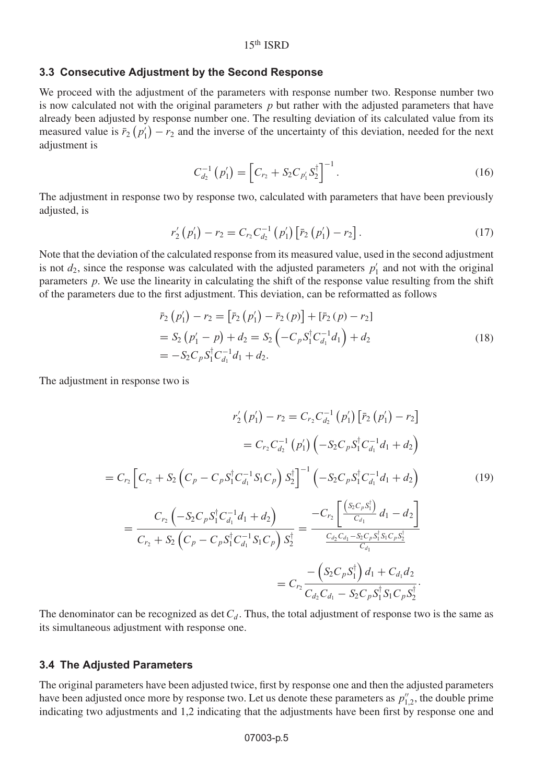#### **3.3 Consecutive Adjustment by the Second Response**

We proceed with the adjustment of the parameters with response number two. Response number two is now calculated not with the original parameters  $p$  but rather with the adjusted parameters that have already been adjusted by response number one. The resulting deviation of its calculated value from its measured value is  $\bar{r}_2(p'_1) - \bar{r}_2$  and the inverse of the uncertainty of this deviation, needed for the next adjustment is

$$
C_{d_2}^{-1}(p'_1) = \left[C_{r_2} + S_2 C_{p'_1} S_2^{\dagger}\right]^{-1}.
$$
 (16)

The adjustment in response two by response two, calculated with parameters that have been previously adjusted, is

$$
r'_{2}(p'_{1}) - r_{2} = C_{r_{2}} C_{d_{2}}^{-1}(p'_{1}) [\bar{r}_{2}(p'_{1}) - r_{2}]. \qquad (17)
$$

Note that the deviation of the calculated response from its measured value, used in the second adjustment is not  $d_2$ , since the response was calculated with the adjusted parameters  $p'_1$  and not with the original parameters p. We use the linearity in calculating the shift of the response value resulting from the shift of the parameters due to the first adjustment. This deviation, can be reformatted as follows

$$
\begin{aligned}\n\bar{r}_2\left(p'_1\right) - r_2 &= \left[\bar{r}_2\left(p'_1\right) - \bar{r}_2\left(p\right)\right] + \left[\bar{r}_2\left(p\right) - r_2\right] \\
&= S_2\left(p'_1 - p\right) + d_2 = S_2\left(-C_p S_1^\dagger C_{d_1}^{-1} d_1\right) + d_2 \\
&= -S_2 C_p S_1^\dagger C_{d_1}^{-1} d_1 + d_2.\n\end{aligned} \tag{18}
$$

The adjustment in response two is

$$
r'_{2}(p'_{1}) - r_{2} = C_{r_{2}}C_{d_{2}}^{-1}(p'_{1})\left[\bar{r}_{2}(p'_{1}) - r_{2}\right]
$$

$$
= C_{r_{2}}C_{d_{2}}^{-1}(p'_{1})\left(-S_{2}C_{p}S_{1}^{\dagger}C_{d_{1}}^{-1}d_{1} + d_{2}\right)
$$

$$
= C_{r_{2}}\left[C_{r_{2}} + S_{2}\left(C_{p} - C_{p}S_{1}^{\dagger}C_{d_{1}}^{-1}S_{1}C_{p}\right)S_{2}^{\dagger}\right]^{-1}\left(-S_{2}C_{p}S_{1}^{\dagger}C_{d_{1}}^{-1}d_{1} + d_{2}\right)
$$
(19)
$$
= \frac{C_{r_{2}}\left(-S_{2}C_{p}S_{1}^{\dagger}C_{d_{1}}^{-1}d_{1} + d_{2}\right)}{C_{r_{2}} + S_{2}\left(C_{p} - C_{p}S_{1}^{\dagger}C_{d_{1}}^{-1}S_{1}C_{p}\right)S_{2}^{\dagger}} = \frac{-C_{r_{2}}\left[\frac{(S_{2}C_{p}S_{1}^{\dagger})}{C_{d_{1}}}d_{1} - d_{2}\right]}{\frac{C_{d_{2}}C_{d_{1}} - S_{2}C_{p}S_{1}^{\dagger}S_{1}C_{p}S_{2}^{\dagger}}{C_{d_{1}}}} = C_{r_{2}}\frac{-\left(S_{2}C_{p}S_{1}^{\dagger}\right)d_{1} + C_{d_{1}}d_{2}}{C_{d_{2}}C_{d_{1}} - S_{2}C_{p}S_{1}^{\dagger}S_{1}C_{p}S_{2}^{\dagger}}.
$$

The denominator can be recognized as det  $C_d$ . Thus, the total adjustment of response two is the same as its simultaneous adjustment with response one.

#### **3.4 The Adjusted Parameters**

The original parameters have been adjusted twice, first by response one and then the adjusted parameters have been adjusted once more by response two. Let us denote these parameters as  $p''_{1,2}$ , the double prime indicating two adjustments and 1,2 indicating that the adjustments have been first by response one and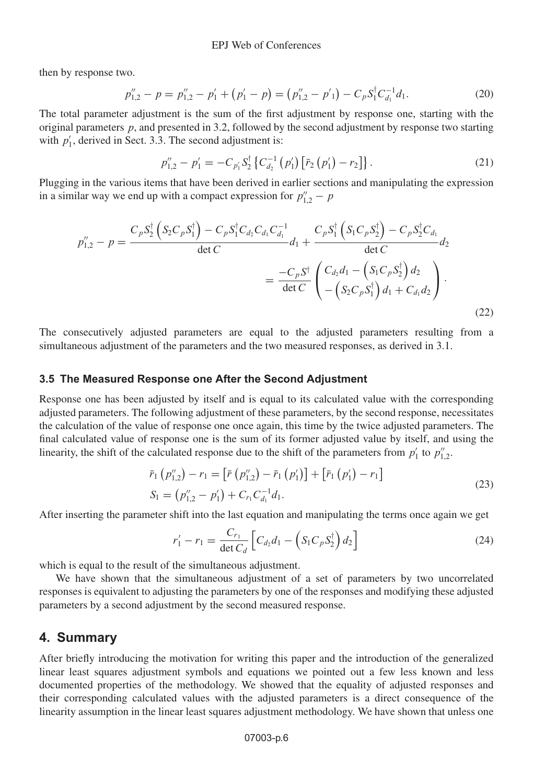#### EPJ Web of Conferences

then by response two.

$$
p_{1,2}'' - p = p_{1,2}'' - p_1' + (p_1' - p) = (p_{1,2}'' - p_{1}') - C_p S_1^{\dagger} C_{d_1}^{-1} d_1.
$$
 (20)

The total parameter adjustment is the sum of the first adjustment by response one, starting with the original parameters  $p$ , and presented in 3.2, followed by the second adjustment by response two starting with  $p'_1$ , derived in Sect. 3.3. The second adjustment is:

$$
p_{1,2}'' - p_1' = -C_{p_1'} S_2^{\dagger} \left\{ C_{d_2}^{-1} \left( p_1' \right) \left[ \bar{r}_2 \left( p_1' \right) - r_2 \right] \right\}.
$$
 (21)

Plugging in the various items that have been derived in earlier sections and manipulating the expression in a similar way we end up with a compact expression for  $p''_{1,2} - p$ 

$$
p_{1,2}'' - p = \frac{C_p S_2^{\dagger} \left( S_2 C_p S_1^{\dagger} \right) - C_p S_1^{\dagger} C_{d_2} C_{d_1} C_{d_1}^{-1}}{\det C} d_1 + \frac{C_p S_1^{\dagger} \left( S_1 C_p S_2^{\dagger} \right) - C_p S_2^{\dagger} C_{d_1}}{\det C} d_2
$$
  

$$
= \frac{-C_p S^{\dagger}}{\det C} \left( \frac{C_{d_2} d_1 - \left( S_1 C_p S_2^{\dagger} \right) d_2}{-\left( S_2 C_p S_1^{\dagger} \right) d_1 + C_{d_1} d_2} \right).
$$
(22)

The consecutively adjusted parameters are equal to the adjusted parameters resulting from a simultaneous adjustment of the parameters and the two measured responses, as derived in 3.1.

#### **3.5 The Measured Response one After the Second Adjustment**

Response one has been adjusted by itself and is equal to its calculated value with the corresponding adjusted parameters. The following adjustment of these parameters, by the second response, necessitates the calculation of the value of response one once again, this time by the twice adjusted parameters. The final calculated value of response one is the sum of its former adjusted value by itself, and using the linearity, the shift of the calculated response due to the shift of the parameters from  $p'_1$  to  $p''_{1,2}$ .

$$
\bar{r}_1 (p''_{1,2}) - r_1 = [\bar{r} (p''_{1,2}) - \bar{r}_1 (p'_1)] + [\bar{r}_1 (p'_1) - r_1]
$$
  
\n
$$
S_1 = (p''_{1,2} - p'_1) + C_{r_1} C_{d_1}^{-1} d_1.
$$
\n(23)

After inserting the parameter shift into the last equation and manipulating the terms once again we get

$$
r_1' - r_1 = \frac{C_{r_1}}{\det C_d} \left[ C_{d_2} d_1 - \left( S_1 C_p S_2^{\dagger} \right) d_2 \right]
$$
 (24)

which is equal to the result of the simultaneous adjustment.

We have shown that the simultaneous adjustment of a set of parameters by two uncorrelated responses is equivalent to adjusting the parameters by one of the responses and modifying these adjusted parameters by a second adjustment by the second measured response.

## **4. Summary**

After briefly introducing the motivation for writing this paper and the introduction of the generalized linear least squares adjustment symbols and equations we pointed out a few less known and less documented properties of the methodology. We showed that the equality of adjusted responses and their corresponding calculated values with the adjusted parameters is a direct consequence of the linearity assumption in the linear least squares adjustment methodology. We have shown that unless one